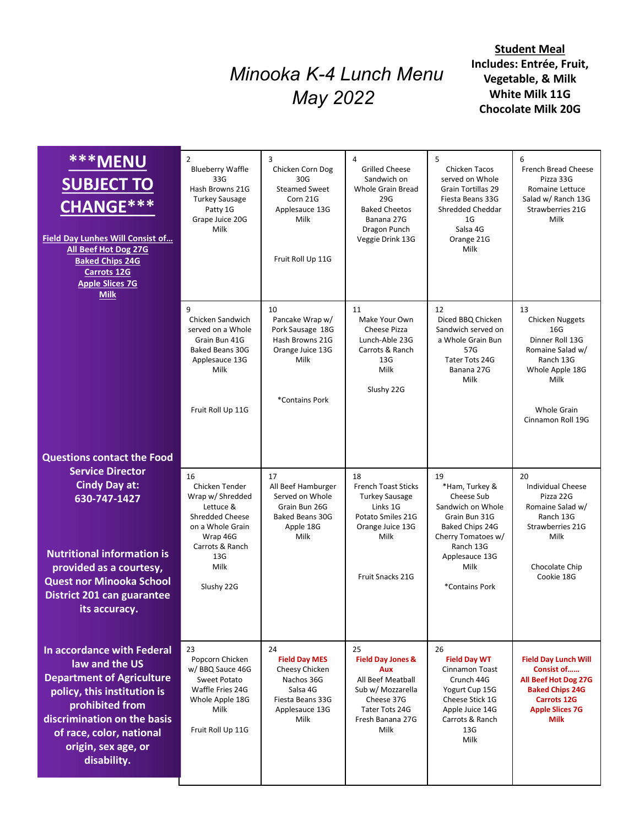## Minooka K-4 Lunch Menu May 2022

|                                                                                                                                                                                                                                                               |                                                                                                                                                          | Minooka K-4 Lunch Menu<br>May 2022                                                                                   | <b>Student Meal</b><br>Includes: Entrée, Fruit,<br>Vegetable, & Milk<br>White Milk 11G<br><b>Chocolate Milk 20G</b>                                          |                                                                                                                                                                            |                                                                                                                                                            |
|---------------------------------------------------------------------------------------------------------------------------------------------------------------------------------------------------------------------------------------------------------------|----------------------------------------------------------------------------------------------------------------------------------------------------------|----------------------------------------------------------------------------------------------------------------------|--------------------------------------------------------------------------------------------------------------------------------------------------------------|----------------------------------------------------------------------------------------------------------------------------------------------------------------------------|------------------------------------------------------------------------------------------------------------------------------------------------------------|
| <b>***MENU</b><br><b>SUBJECT TO</b><br><b>CHANGE***</b><br>Field Day Lunhes Will Consist of<br>All Beef Hot Dog 27G<br><b>Baked Chips 24G</b><br><b>Carrots 12G</b><br><b>Apple Slices 7G</b>                                                                 | $\overline{2}$<br><b>Blueberry Waffle</b><br>33G<br>Hash Browns 21G<br><b>Turkey Sausage</b><br>Patty 1G<br>Grape Juice 20G<br>Milk                      | 3<br>Chicken Corn Dog<br>30G<br><b>Steamed Sweet</b><br>Corn 21G<br>Applesauce 13G<br>Milk<br>Fruit Roll Up 11G      | $\overline{4}$<br><b>Grilled Cheese</b><br>Sandwich on<br>Whole Grain Bread<br>29G<br><b>Baked Cheetos</b><br>Banana 27G<br>Dragon Punch<br>Veggie Drink 13G | 5<br>Chicken Tacos<br>served on Whole<br>Grain Tortillas 29<br>Fiesta Beans 33G<br>Shredded Cheddar<br>1 <sub>G</sub><br>Salsa 4G<br>Orange 21G<br>Milk                    | 6<br><b>French Bread Cheese</b><br>Pizza 33G<br>Romaine Lettuce<br>Salad w/ Ranch 13G<br>Strawberries 21G<br>Milk                                          |
| <b>Milk</b>                                                                                                                                                                                                                                                   | 9<br>Chicken Sandwich<br>served on a Whole<br>Grain Bun 41G<br>Baked Beans 30G<br>Applesauce 13G<br>Milk<br>Fruit Roll Up 11G                            | 10<br>Pancake Wrap w/<br>Pork Sausage 18G<br>Hash Browns 21G<br>Orange Juice 13G<br>Milk<br>*Contains Pork           | 11<br>Make Your Own<br>Cheese Pizza<br>Lunch-Able 23G<br>Carrots & Ranch<br>13G<br>Milk<br>Slushy 22G                                                        | 12<br>Diced BBQ Chicken<br>Sandwich served on<br>a Whole Grain Bun<br>57G<br>Tater Tots 24G<br>Banana 27G<br>Milk                                                          | 13<br><b>Chicken Nuggets</b><br>16G<br>Dinner Roll 13G<br>Romaine Salad w/<br>Ranch 13G<br>Whole Apple 18G<br>Milk<br>Whole Grain<br>Cinnamon Roll 19G     |
| <b>Questions contact the Food</b><br><b>Service Director</b><br><b>Cindy Day at:</b><br>630-747-1427<br><b>Nutritional information is</b><br>provided as a courtesy,<br><b>Quest nor Minooka School</b><br><b>District 201 can guarantee</b><br>its accuracy. | 16<br>Chicken Tender<br>Wrap w/ Shredded<br>Lettuce &<br>Shredded Cheese<br>on a Whole Grain<br>Wrap 46G<br>Carrots & Ranch<br>13G<br>Milk<br>Slushy 22G | 17<br>All Beef Hamburger<br>Served on Whole<br>Grain Bun 26G<br>Baked Beans 30G<br>Apple 18G<br>Milk                 | 18<br><b>French Toast Sticks</b><br><b>Turkey Sausage</b><br>Links 1G<br>Potato Smiles 21G<br>Orange Juice 13G<br>Milk<br>Fruit Snacks 21G                   | 19<br>*Ham, Turkey &<br>Cheese Sub<br>Sandwich on Whole<br>Grain Bun 31G<br>Baked Chips 24G<br>Cherry Tomatoes w/<br>Ranch 13G<br>Applesauce 13G<br>Milk<br>*Contains Pork | 20<br><b>Individual Cheese</b><br>Pizza 22G<br>Romaine Salad w/<br>Ranch 13G<br>Strawberries 21G<br>Milk<br>Chocolate Chip<br>Cookie 18G                   |
| In accordance with Federal<br>law and the US<br><b>Department of Agriculture</b><br>policy, this institution is<br>prohibited from<br>discrimination on the basis<br>of race, color, national<br>origin, sex age, or<br>disability.                           | 23<br>Popcorn Chicken<br>w/ BBQ Sauce 46G<br>Sweet Potato<br>Waffle Fries 24G<br>Whole Apple 18G<br>Milk<br>Fruit Roll Up 11G                            | 24<br><b>Field Day MES</b><br>Cheesy Chicken<br>Nachos 36G<br>Salsa 4G<br>Fiesta Beans 33G<br>Applesauce 13G<br>Milk | 25<br><b>Field Day Jones &amp;</b><br>Aux<br>All Beef Meatball<br>Sub w/ Mozzarella<br>Cheese 37G<br>Tater Tots 24G<br>Fresh Banana 27G<br>Milk              | 26<br><b>Field Day WT</b><br>Cinnamon Toast<br>Crunch 44G<br>Yogurt Cup 15G<br>Cheese Stick 1G<br>Apple Juice 14G<br>Carrots & Ranch<br>13G<br>Milk                        | <b>Field Day Lunch Will</b><br>Consist of<br>All Beef Hot Dog 27G<br><b>Baked Chips 24G</b><br><b>Carrots 12G</b><br><b>Apple Slices 7G</b><br><b>Milk</b> |